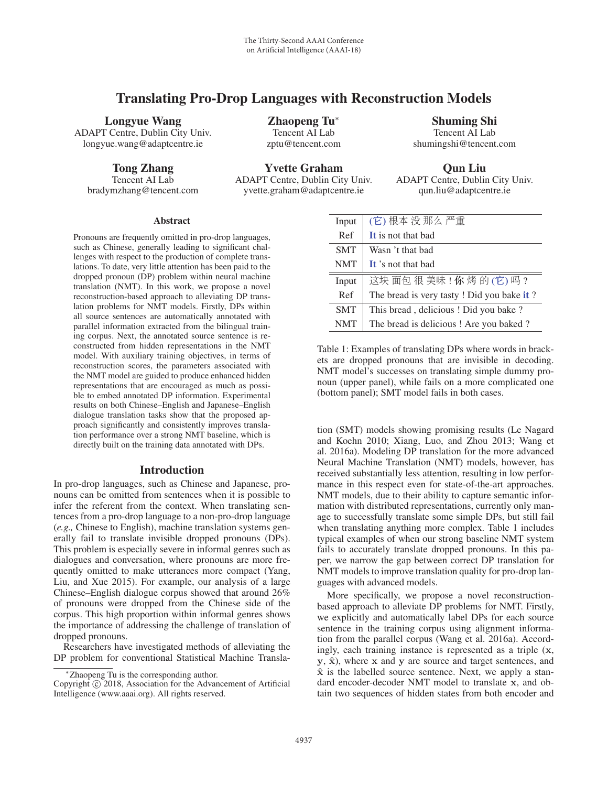# Translating Pro-Drop Languages with Reconstruction Models

#### Longyue Wang

ADAPT Centre, Dublin City Univ. longyue.wang@adaptcentre.ie

Tong Zhang

Tencent AI Lab bradymzhang@tencent.com

Zhaopeng Tu<sup>∗</sup> Tencent AI Lab zptu@tencent.com

Shuming Shi Tencent AI Lab shumingshi@tencent.com

Yvette Graham

ADAPT Centre, Dublin City Univ. yvette.graham@adaptcentre.ie

Qun Liu ADAPT Centre, Dublin City Univ. qun.liu@adaptcentre.ie

#### **Abstract**

Pronouns are frequently omitted in pro-drop languages, such as Chinese, generally leading to significant challenges with respect to the production of complete translations. To date, very little attention has been paid to the dropped pronoun (DP) problem within neural machine translation (NMT). In this work, we propose a novel reconstruction-based approach to alleviating DP translation problems for NMT models. Firstly, DPs within all source sentences are automatically annotated with parallel information extracted from the bilingual training corpus. Next, the annotated source sentence is reconstructed from hidden representations in the NMT model. With auxiliary training objectives, in terms of reconstruction scores, the parameters associated with the NMT model are guided to produce enhanced hidden representations that are encouraged as much as possible to embed annotated DP information. Experimental results on both Chinese–English and Japanese–English dialogue translation tasks show that the proposed approach significantly and consistently improves translation performance over a strong NMT baseline, which is directly built on the training data annotated with DPs.

# Introduction

In pro-drop languages, such as Chinese and Japanese, pronouns can be omitted from sentences when it is possible to infer the referent from the context. When translating sentences from a pro-drop language to a non-pro-drop language (*e.g.,* Chinese to English), machine translation systems generally fail to translate invisible dropped pronouns (DPs). This problem is especially severe in informal genres such as dialogues and conversation, where pronouns are more frequently omitted to make utterances more compact (Yang, Liu, and Xue 2015). For example, our analysis of a large Chinese–English dialogue corpus showed that around 26% of pronouns were dropped from the Chinese side of the corpus. This high proportion within informal genres shows the importance of addressing the challenge of translation of dropped pronouns.

Researchers have investigated methods of alleviating the DP problem for conventional Statistical Machine Transla-

| Input      | (它)根本没那么严重                                 |
|------------|--------------------------------------------|
| Ref        | It is not that had                         |
| <b>SMT</b> | Wasn 't that bad                           |
| <b>NMT</b> | It's not that had                          |
| Input      | 这块面包很美味!你烤的(它)吗?                           |
| Ref        | The bread is very tasty ! Did you bake it? |
| <b>SMT</b> | This bread, delicious ! Did you bake?      |
| <b>NMT</b> | The bread is delicious ! Are you baked ?   |

Table 1: Examples of translating DPs where words in brackets are dropped pronouns that are invisible in decoding. NMT model's successes on translating simple dummy pronoun (upper panel), while fails on a more complicated one (bottom panel); SMT model fails in both cases.

tion (SMT) models showing promising results (Le Nagard and Koehn 2010; Xiang, Luo, and Zhou 2013; Wang et al. 2016a). Modeling DP translation for the more advanced Neural Machine Translation (NMT) models, however, has received substantially less attention, resulting in low performance in this respect even for state-of-the-art approaches. NMT models, due to their ability to capture semantic information with distributed representations, currently only manage to successfully translate some simple DPs, but still fail when translating anything more complex. Table 1 includes typical examples of when our strong baseline NMT system fails to accurately translate dropped pronouns. In this paper, we narrow the gap between correct DP translation for NMT models to improve translation quality for pro-drop languages with advanced models.

More specifically, we propose a novel reconstructionbased approach to alleviate DP problems for NMT. Firstly, we explicitly and automatically label DPs for each source sentence in the training corpus using alignment information from the parallel corpus (Wang et al. 2016a). Accordingly, each training instance is represented as a triple (**x**,  $y, \hat{x}$ ), where  $x$  and  $y$  are source and target sentences, and **xˆ** is the labelled source sentence. Next, we apply a standard encoder-decoder NMT model to translate **x**, and obtain two sequences of hidden states from both encoder and

<sup>∗</sup>Zhaopeng Tu is the corresponding author.

Copyright  $\odot$  2018, Association for the Advancement of Artificial Intelligence (www.aaai.org). All rights reserved.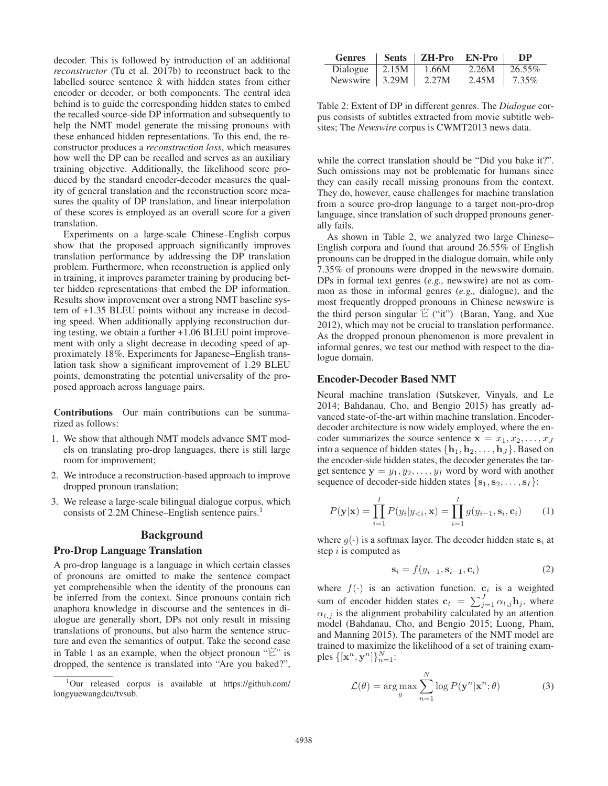decoder. This is followed by introduction of an additional *reconstructor* (Tu et al. 2017b) to reconstruct back to the labelled source sentence **xˆ** with hidden states from either encoder or decoder, or both components. The central idea behind is to guide the corresponding hidden states to embed the recalled source-side DP information and subsequently to help the NMT model generate the missing pronouns with these enhanced hidden representations. To this end, the reconstructor produces a *reconstruction loss*, which measures how well the DP can be recalled and serves as an auxiliary training objective. Additionally, the likelihood score produced by the standard encoder-decoder measures the quality of general translation and the reconstruction score measures the quality of DP translation, and linear interpolation of these scores is employed as an overall score for a given translation.

Experiments on a large-scale Chinese–English corpus show that the proposed approach significantly improves translation performance by addressing the DP translation problem. Furthermore, when reconstruction is applied only in training, it improves parameter training by producing better hidden representations that embed the DP information. Results show improvement over a strong NMT baseline system of +1.35 BLEU points without any increase in decoding speed. When additionally applying reconstruction during testing, we obtain a further +1.06 BLEU point improvement with only a slight decrease in decoding speed of approximately 18%. Experiments for Japanese–English translation task show a significant improvement of 1.29 BLEU points, demonstrating the potential universality of the proposed approach across language pairs.

Contributions Our main contributions can be summarized as follows:

- 1. We show that although NMT models advance SMT models on translating pro-drop languages, there is still large room for improvement;
- 2. We introduce a reconstruction-based approach to improve dropped pronoun translation;
- 3. We release a large-scale bilingual dialogue corpus, which consists of 2.2M Chinese–English sentence pairs.<sup>1</sup>

#### Background

#### Pro-Drop Language Translation

A pro-drop language is a language in which certain classes of pronouns are omitted to make the sentence compact yet comprehensible when the identity of the pronouns can be inferred from the context. Since pronouns contain rich anaphora knowledge in discourse and the sentences in dialogue are generally short, DPs not only result in missing translations of pronouns, but also harm the sentence structure and even the semantics of output. Take the second case in Table 1 as an example, when the object pronoun "它" is dropped, the sentence is translated into "Are you baked?",

| <b>Genres</b>          |              | Sents   ZH-Pro EN-Pro |       | DP.      |
|------------------------|--------------|-----------------------|-------|----------|
| Dialogue               | $\mid$ 2.15M | 1.66M                 | 2.26M | 26.55%   |
| Newswire $\vert$ 3.29M |              | 2.27M                 | 2.45M | $1.35\%$ |

Table 2: Extent of DP in different genres. The *Dialogue* corpus consists of subtitles extracted from movie subtitle websites; The *Newswire* corpus is CWMT2013 news data.

while the correct translation should be "Did you bake it?". Such omissions may not be problematic for humans since they can easily recall missing pronouns from the context. They do, however, cause challenges for machine translation from a source pro-drop language to a target non-pro-drop language, since translation of such dropped pronouns generally fails.

As shown in Table 2, we analyzed two large Chinese– English corpora and found that around 26.55% of English pronouns can be dropped in the dialogue domain, while only 7.35% of pronouns were dropped in the newswire domain. DPs in formal text genres (*e.g.,* newswire) are not as common as those in informal genres (*e.g.,* dialogue), and the most frequently dropped pronouns in Chinese newswire is the third person singular  $\mathbb{E}$  ("it") (Baran, Yang, and Xue 2012), which may not be crucial to translation performance. As the dropped pronoun phenomenon is more prevalent in informal genres, we test our method with respect to the dialogue domain.

#### Encoder-Decoder Based NMT

Neural machine translation (Sutskever, Vinyals, and Le 2014; Bahdanau, Cho, and Bengio 2015) has greatly advanced state-of-the-art within machine translation. Encoderdecoder architecture is now widely employed, where the encoder summarizes the source sentence  $\mathbf{x} = x_1, x_2, \dots, x_J$ into a sequence of hidden states  $\{h_1, h_2, \ldots, h_J\}$ . Based on the encoder-side hidden states, the decoder generates the target sentence  $y = y_1, y_2, \dots, y_I$  word by word with another sequence of decoder-side hidden states  $\{s_1, s_2, \ldots, s_I\}$ :

$$
P(\mathbf{y}|\mathbf{x}) = \prod_{i=1}^{I} P(y_i|y_{< i}, \mathbf{x}) = \prod_{i=1}^{I} g(y_{i-1}, \mathbf{s}_i, \mathbf{c}_i)
$$
(1)

where  $g(\cdot)$  is a softmax layer. The decoder hidden state  $s_i$  at step  $i$  is computed as

$$
\mathbf{s}_i = f(y_{i-1}, \mathbf{s}_{i-1}, \mathbf{c}_i)
$$
 (2)

where  $f(\cdot)$  is an activation function.  $c_i$  is a weighted sum of encoder hidden states  $\mathbf{c}_t = \sum_{j=1}^J \alpha_{t,j} \mathbf{h}_j$ , where  $\alpha_{t,j}$  is the alignment probability calculated by an attention model (Bahdanau, Cho, and Bengio 2015; Luong, Pham, and Manning 2015). The parameters of the NMT model are trained to maximize the likelihood of a set of training examples  $\{[\mathbf{x}^n, \mathbf{y}^n]\}_{n=1}^N$ :

$$
\mathcal{L}(\theta) = \arg \max_{\theta} \sum_{n=1}^{N} \log P(\mathbf{y}^n | \mathbf{x}^n; \theta)
$$
 (3)

<sup>1</sup> Our released corpus is available at https://github.com/ longyuewangdcu/tvsub.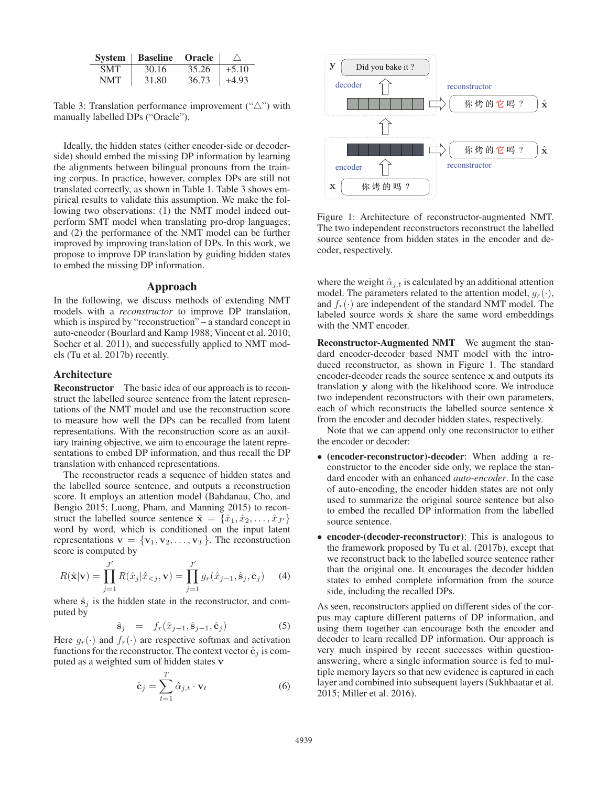| <b>System</b> | Baseline | <b>Oracle</b> | $\wedge$ |
|---------------|----------|---------------|----------|
| <b>SMT</b>    | 30.16    | 35.26         | $+5.10$  |
| NMT           | 31.80    | 36.73         | $+4.93$  |

Table 3: Translation performance improvement  $(\hat{\ } \Delta$ ") with manually labelled DPs ("Oracle").

Ideally, the hidden states (either encoder-side or decoderside) should embed the missing DP information by learning the alignments between bilingual pronouns from the training corpus. In practice, however, complex DPs are still not translated correctly, as shown in Table 1. Table 3 shows empirical results to validate this assumption. We make the following two observations: (1) the NMT model indeed outperform SMT model when translating pro-drop languages; and (2) the performance of the NMT model can be further improved by improving translation of DPs. In this work, we propose to improve DP translation by guiding hidden states to embed the missing DP information.

#### Approach

In the following, we discuss methods of extending NMT models with a *reconstructor* to improve DP translation, which is inspired by "reconstruction" – a standard concept in auto-encoder (Bourlard and Kamp 1988; Vincent et al. 2010; Socher et al. 2011), and successfully applied to NMT models (Tu et al. 2017b) recently.

### Architecture

Reconstructor The basic idea of our approach is to reconstruct the labelled source sentence from the latent representations of the NMT model and use the reconstruction score to measure how well the DPs can be recalled from latent representations. With the reconstruction score as an auxiliary training objective, we aim to encourage the latent representations to embed DP information, and thus recall the DP translation with enhanced representations.

The reconstructor reads a sequence of hidden states and the labelled source sentence, and outputs a reconstruction score. It employs an attention model (Bahdanau, Cho, and Bengio 2015; Luong, Pham, and Manning 2015) to reconstruct the labelled source sentence  $\hat{\mathbf{x}} = {\hat{x}_1, \hat{x}_2, \dots, \hat{x}_{J'}}$  word by word which is conditioned on the input latent word by word, which is conditioned on the input latent representations  $\mathbf{v} = {\mathbf{v}_1, \mathbf{v}_2, \dots, \mathbf{v}_T}$ . The reconstruction score is computed by

$$
R(\hat{\mathbf{x}}|\mathbf{v}) = \prod_{j=1}^{J'} R(\hat{x}_j|\hat{x}_{
$$

where  $\hat{\mathbf{s}}_i$  is the hidden state in the reconstructor, and computed by

$$
\hat{\mathbf{s}}_j = f_r(\hat{x}_{j-1}, \hat{\mathbf{s}}_{j-1}, \hat{\mathbf{c}}_j)
$$
(5)

Here  $g_r(\cdot)$  and  $f_r(\cdot)$  are respective softmax and activation<br>functions for the reconstructor. The context vector  $\hat{c}_i$  is comfunctions for the reconstructor. The context vector  $\hat{\mathbf{c}}_i$  is computed as a weighted sum of hidden states **v**

$$
\hat{\mathbf{c}}_{j} = \sum_{t=1}^{T} \hat{\alpha}_{j,t} \cdot \mathbf{v}_{t}
$$
 (6)



Figure 1: Architecture of reconstructor-augmented NMT. The two independent reconstructors reconstruct the labelled source sentence from hidden states in the encoder and decoder, respectively.

where the weight  $\hat{\alpha}_{j,t}$  is calculated by an additional attention model. The parameters related to the attention model,  $g_r(\cdot)$ , and  $f_r(\cdot)$  are independent of the standard NMT model. The labeled source words  $\hat{x}$  share the same word embeddings with the NMT encoder.

Reconstructor-Augmented NMT We augment the standard encoder-decoder based NMT model with the introduced reconstructor, as shown in Figure 1. The standard encoder-decoder reads the source sentence **x** and outputs its translation **y** along with the likelihood score. We introduce two independent reconstructors with their own parameters, each of which reconstructs the labelled source sentence  $\hat{\mathbf{x}}$ from the encoder and decoder hidden states, respectively.

Note that we can append only one reconstructor to either the encoder or decoder:

- (encoder-reconstructor)-decoder: When adding a reconstructor to the encoder side only, we replace the standard encoder with an enhanced *auto-encoder*. In the case of auto-encoding, the encoder hidden states are not only used to summarize the original source sentence but also to embed the recalled DP information from the labelled source sentence.
- encoder-(decoder-reconstructor): This is analogous to the framework proposed by Tu et al. (2017b), except that we reconstruct back to the labelled source sentence rather than the original one. It encourages the decoder hidden states to embed complete information from the source side, including the recalled DPs.

As seen, reconstructors applied on different sides of the corpus may capture different patterns of DP information, and using them together can encourage both the encoder and decoder to learn recalled DP information. Our approach is very much inspired by recent successes within questionanswering, where a single information source is fed to multiple memory layers so that new evidence is captured in each layer and combined into subsequent layers (Sukhbaatar et al. 2015; Miller et al. 2016).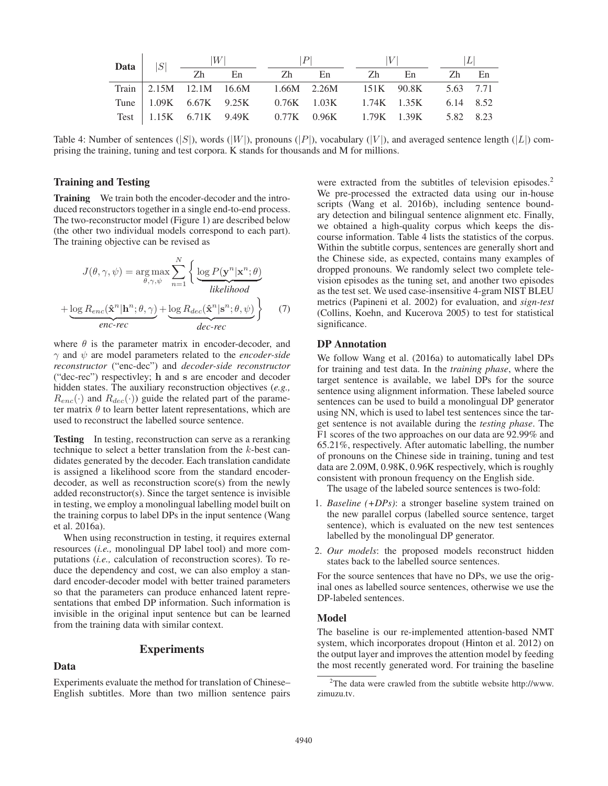| Data $ S $ | W               |    |                                                            |          | V |    |       |  |
|------------|-----------------|----|------------------------------------------------------------|----------|---|----|-------|--|
|            | $\overline{zh}$ | En |                                                            | Zh En Zh |   | En | Zh En |  |
|            |                 |    | Train 2.15M 12.1M 16.6M 1.66M 2.26M 151K 90.8K 5.63 7.71   |          |   |    |       |  |
|            |                 |    | Tune 1.09K 6.67K 9.25K 0.76K 1.03K 1.74K 1.35K 6.14 8.52   |          |   |    |       |  |
|            |                 |    | Test   1.15K 6.71K 9.49K 0.77K 0.96K 1.79K 1.39K 5.82 8.23 |          |   |    |       |  |

Table 4: Number of sentences  $(|S|)$ , words  $(|W|)$ , pronouns  $(|P|)$ , vocabulary  $(|V|)$ , and averaged sentence length  $(|L|)$  comprising the training, tuning and test corpora. K stands for thousands and M for millions.

## Training and Testing

Training We train both the encoder-decoder and the introduced reconstructors together in a single end-to-end process. The two-reconstructor model (Figure 1) are described below (the other two individual models correspond to each part). The training objective can be revised as

$$
J(\theta, \gamma, \psi) = \underset{\theta, \gamma, \psi}{\arg \max} \sum_{n=1}^{N} \left\{ \underbrace{\log P(\mathbf{y}^n | \mathbf{x}^n; \theta)}_{likelihood} + \underbrace{\log R_{enc}(\mathbf{\hat{x}}^n | \mathbf{h}^n; \theta, \gamma)}_{enc\text{-}rec} + \underbrace{\log R_{dec}(\mathbf{\hat{x}}^n | \mathbf{s}^n; \theta, \psi)}_{dec\text{-}rec} \right\} \tag{7}
$$

where  $\theta$  is the parameter matrix in encoder-decoder, and γ and ψ are model parameters related to the *encoder-side reconstructor* ("enc-dec") and *decoder-side reconstructor* ("dec-rec") respectivley; **h** and **s** are encoder and decoder hidden states. The auxiliary reconstruction objectives (*e.g.,*  $R_{enc}(\cdot)$  and  $R_{dec}(\cdot)$  guide the related part of the parameter matrix  $\theta$  to learn better latent representations, which are used to reconstruct the labelled source sentence.

**Testing** In testing, reconstruction can serve as a reranking technique to select a better translation from the k-best candidates generated by the decoder. Each translation candidate is assigned a likelihood score from the standard encoderdecoder, as well as reconstruction score(s) from the newly added reconstructor(s). Since the target sentence is invisible in testing, we employ a monolingual labelling model built on the training corpus to label DPs in the input sentence (Wang et al. 2016a).

When using reconstruction in testing, it requires external resources (*i.e.,* monolingual DP label tool) and more computations (*i.e.,* calculation of reconstruction scores). To reduce the dependency and cost, we can also employ a standard encoder-decoder model with better trained parameters so that the parameters can produce enhanced latent representations that embed DP information. Such information is invisible in the original input sentence but can be learned from the training data with similar context.

#### **Experiments**

# Data

Experiments evaluate the method for translation of Chinese– English subtitles. More than two million sentence pairs

were extracted from the subtitles of television episodes.<sup>2</sup> We pre-processed the extracted data using our in-house scripts (Wang et al. 2016b), including sentence boundary detection and bilingual sentence alignment etc. Finally, we obtained a high-quality corpus which keeps the discourse information. Table 4 lists the statistics of the corpus. Within the subtitle corpus, sentences are generally short and the Chinese side, as expected, contains many examples of dropped pronouns. We randomly select two complete television episodes as the tuning set, and another two episodes as the test set. We used case-insensitive 4-gram NIST BLEU metrics (Papineni et al. 2002) for evaluation, and *sign-test* (Collins, Koehn, and Kucerova 2005) to test for statistical significance.

# DP Annotation

We follow Wang et al. (2016a) to automatically label DPs for training and test data. In the *training phase*, where the target sentence is available, we label DPs for the source sentence using alignment information. These labeled source sentences can be used to build a monolingual DP generator using NN, which is used to label test sentences since the target sentence is not available during the *testing phase*. The F1 scores of the two approaches on our data are 92.99% and 65.21%, respectively. After automatic labelling, the number of pronouns on the Chinese side in training, tuning and test data are 2.09M, 0.98K, 0.96K respectively, which is roughly consistent with pronoun frequency on the English side.

The usage of the labeled source sentences is two-fold:

- 1. *Baseline (+DPs)*: a stronger baseline system trained on the new parallel corpus (labelled source sentence, target sentence), which is evaluated on the new test sentences labelled by the monolingual DP generator.
- 2. *Our models*: the proposed models reconstruct hidden states back to the labelled source sentences.

For the source sentences that have no DPs, we use the original ones as labelled source sentences, otherwise we use the DP-labeled sentences.

#### Model

The baseline is our re-implemented attention-based NMT system, which incorporates dropout (Hinton et al. 2012) on the output layer and improves the attention model by feeding the most recently generated word. For training the baseline

<sup>&</sup>lt;sup>2</sup>The data were crawled from the subtitle website http://www. zimuzu.tv.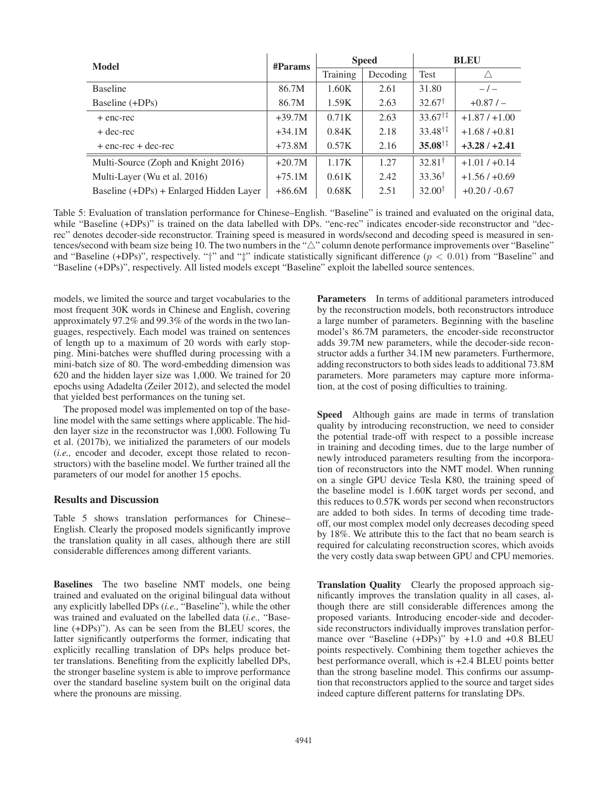| Model                                   | $\#$ Params |          | <b>Speed</b> | <b>BLEU</b>               |                 |  |
|-----------------------------------------|-------------|----------|--------------|---------------------------|-----------------|--|
|                                         |             | Training | Decoding     | <b>Test</b>               |                 |  |
| <b>Baseline</b>                         | 86.7M       | 1.60K    | 2.61         | 31.80                     | $-/-$           |  |
| Baseline (+DPs)                         | 86.7M       | 1.59K    | 2.63         | $32.67^{\dagger}$         | $+0.87/$        |  |
| + enc-rec                               | $+39.7M$    | 0.71K    | 2.63         | $33.67^{\dagger\ddagger}$ | $+1.87/+1.00$   |  |
| + dec-rec                               | $+34.1M$    | 0.84K    | 2.18         | $33.48^{\dagger\ddagger}$ | $+1.68 / +0.81$ |  |
| + enc-rec + dec-rec                     | $+73.8M$    | 0.57K    | 2.16         | $35.08^{\dagger\ddagger}$ | $+3.28/+2.41$   |  |
| Multi-Source (Zoph and Knight 2016)     | $+20.7M$    | 1.17K    | 1.27         | $32.81^{\dagger}$         | $+1.01/+0.14$   |  |
| Multi-Layer (Wu et al. 2016)            | $+75.1M$    | 0.61K    | 2.42         | $33.36^{\dagger}$         | $+1.56/+0.69$   |  |
| Baseline (+DPs) + Enlarged Hidden Layer | $+86.6M$    | 0.68K    | 2.51         | $32.00^{\dagger}$         | $+0.20/ -0.67$  |  |

Table 5: Evaluation of translation performance for Chinese–English. "Baseline" is trained and evaluated on the original data, while "Baseline (+DPs)" is trained on the data labelled with DPs. "enc-rec" indicates encoder-side reconstructor and "decrec" denotes decoder-side reconstructor. Training speed is measured in words/second and decoding speed is measured in sentences/second with beam size being 10. The two numbers in the " $\triangle$ " column denote performance improvements over "Baseline" and "Baseline (+DPs)", respectively. "†" and "#" indicate statistically significant difference ( $p < 0.01$ ) from "Baseline" and "Baseline (+DPs)", respectively. All listed models except "Baseline" exploit the labelled source sentences.

models, we limited the source and target vocabularies to the most frequent 30K words in Chinese and English, covering approximately 97.2% and 99.3% of the words in the two languages, respectively. Each model was trained on sentences of length up to a maximum of 20 words with early stopping. Mini-batches were shuffled during processing with a mini-batch size of 80. The word-embedding dimension was 620 and the hidden layer size was 1,000. We trained for 20 epochs using Adadelta (Zeiler 2012), and selected the model that yielded best performances on the tuning set.

The proposed model was implemented on top of the baseline model with the same settings where applicable. The hidden layer size in the reconstructor was 1,000. Following Tu et al. (2017b), we initialized the parameters of our models (*i.e.,* encoder and decoder, except those related to reconstructors) with the baseline model. We further trained all the parameters of our model for another 15 epochs.

## Results and Discussion

Table 5 shows translation performances for Chinese– English. Clearly the proposed models significantly improve the translation quality in all cases, although there are still considerable differences among different variants.

Baselines The two baseline NMT models, one being trained and evaluated on the original bilingual data without any explicitly labelled DPs (*i.e.,* "Baseline"), while the other was trained and evaluated on the labelled data (*i.e.,* "Baseline (+DPs)"). As can be seen from the BLEU scores, the latter significantly outperforms the former, indicating that explicitly recalling translation of DPs helps produce better translations. Benefiting from the explicitly labelled DPs, the stronger baseline system is able to improve performance over the standard baseline system built on the original data where the pronouns are missing.

Parameters In terms of additional parameters introduced by the reconstruction models, both reconstructors introduce a large number of parameters. Beginning with the baseline model's 86.7M parameters, the encoder-side reconstructor adds 39.7M new parameters, while the decoder-side reconstructor adds a further 34.1M new parameters. Furthermore, adding reconstructors to both sides leads to additional 73.8M parameters. More parameters may capture more information, at the cost of posing difficulties to training.

Speed Although gains are made in terms of translation quality by introducing reconstruction, we need to consider the potential trade-off with respect to a possible increase in training and decoding times, due to the large number of newly introduced parameters resulting from the incorporation of reconstructors into the NMT model. When running on a single GPU device Tesla K80, the training speed of the baseline model is 1.60K target words per second, and this reduces to 0.57K words per second when reconstructors are added to both sides. In terms of decoding time tradeoff, our most complex model only decreases decoding speed by 18%. We attribute this to the fact that no beam search is required for calculating reconstruction scores, which avoids the very costly data swap between GPU and CPU memories.

Translation Quality Clearly the proposed approach significantly improves the translation quality in all cases, although there are still considerable differences among the proposed variants. Introducing encoder-side and decoderside reconstructors individually improves translation performance over "Baseline (+DPs)" by +1.0 and +0.8 BLEU points respectively. Combining them together achieves the best performance overall, which is +2.4 BLEU points better than the strong baseline model. This confirms our assumption that reconstructors applied to the source and target sides indeed capture different patterns for translating DPs.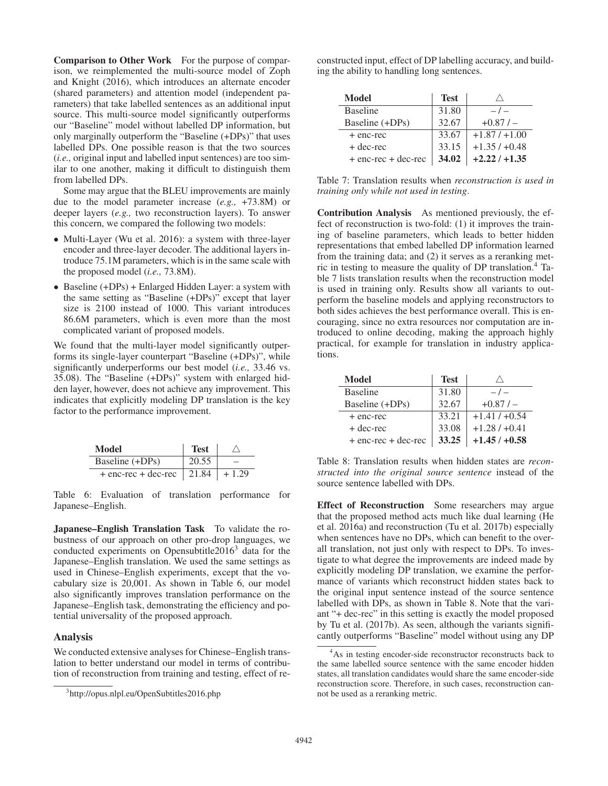Comparison to Other Work For the purpose of comparison, we reimplemented the multi-source model of Zoph and Knight (2016), which introduces an alternate encoder (shared parameters) and attention model (independent parameters) that take labelled sentences as an additional input source. This multi-source model significantly outperforms our "Baseline" model without labelled DP information, but only marginally outperform the "Baseline (+DPs)" that uses labelled DPs. One possible reason is that the two sources (*i.e.,* original input and labelled input sentences) are too similar to one another, making it difficult to distinguish them from labelled DPs.

Some may argue that the BLEU improvements are mainly due to the model parameter increase (*e.g.,* +73.8M) or deeper layers (*e.g.,* two reconstruction layers). To answer this concern, we compared the following two models:

- Multi-Layer (Wu et al. 2016): a system with three-layer encoder and three-layer decoder. The additional layers introduce 75.1M parameters, which is in the same scale with the proposed model (*i.e.,* 73.8M).
- Baseline (+DPs) + Enlarged Hidden Layer: a system with the same setting as "Baseline (+DPs)" except that layer size is 2100 instead of 1000. This variant introduces 86.6M parameters, which is even more than the most complicated variant of proposed models.

We found that the multi-layer model significantly outperforms its single-layer counterpart "Baseline (+DPs)", while significantly underperforms our best model (*i.e.,* 33.46 vs. 35.08). The "Baseline (+DPs)" system with enlarged hidden layer, however, does not achieve any improvement. This indicates that explicitly modeling DP translation is the key factor to the performance improvement.

| Model                         | <b>Test</b> |         |
|-------------------------------|-------------|---------|
| Baseline (+DPs)               | 20.55       |         |
| $+$ enc-rec + dec-rec   21.84 |             | $+1.29$ |

Table 6: Evaluation of translation performance for Japanese–English.

Japanese–English Translation Task To validate the robustness of our approach on other pro-drop languages, we conducted experiments on Opensubtitle2016 $3$  data for the Japanese–English translation. We used the same settings as used in Chinese–English experiments, except that the vocabulary size is 20,001. As shown in Table 6, our model also significantly improves translation performance on the Japanese–English task, demonstrating the efficiency and potential universality of the proposed approach.

## Analysis

We conducted extensive analyses for Chinese–English translation to better understand our model in terms of contribution of reconstruction from training and testing, effect of reconstructed input, effect of DP labelling accuracy, and building the ability to handling long sentences.

| Model                   | <b>Test</b> |               |
|-------------------------|-------------|---------------|
| <b>Baseline</b>         | 31.80       | $-1$          |
| Baseline (+DPs)         | 32.67       | $+0.87/$      |
| + enc-rec               | 33.67       | $+1.87/+1.00$ |
| $+$ dec-rec             | 33.15       | $+1.35/+0.48$ |
| $+$ enc-rec $+$ dec-rec | 34.02       | $+2.22/+1.35$ |

Table 7: Translation results when *reconstruction is used in training only while not used in testing*.

Contribution Analysis As mentioned previously, the effect of reconstruction is two-fold: (1) it improves the training of baseline parameters, which leads to better hidden representations that embed labelled DP information learned from the training data; and (2) it serves as a reranking metric in testing to measure the quality of DP translation.4 Table 7 lists translation results when the reconstruction model is used in training only. Results show all variants to outperform the baseline models and applying reconstructors to both sides achieves the best performance overall. This is encouraging, since no extra resources nor computation are introduced to online decoding, making the approach highly practical, for example for translation in industry applications.

| Model                   | <b>Test</b> |               |
|-------------------------|-------------|---------------|
| <b>Baseline</b>         | 31.80       | $-1$          |
| Baseline (+DPs)         | 32.67       | $+0.87/$      |
| + enc-rec               | 33.21       | $+1.41/+0.54$ |
| + dec-rec               | 33.08       | $+1.28/+0.41$ |
| $+$ enc-rec $+$ dec-rec | 33.25       | $+1.45/+0.58$ |

Table 8: Translation results when hidden states are *reconstructed into the original source sentence* instead of the source sentence labelled with DPs.

Effect of Reconstruction Some researchers may argue that the proposed method acts much like dual learning (He et al. 2016a) and reconstruction (Tu et al. 2017b) especially when sentences have no DPs, which can benefit to the overall translation, not just only with respect to DPs. To investigate to what degree the improvements are indeed made by explicitly modeling DP translation, we examine the performance of variants which reconstruct hidden states back to the original input sentence instead of the source sentence labelled with DPs, as shown in Table 8. Note that the variant "+ dec-rec" in this setting is exactly the model proposed by Tu et al. (2017b). As seen, although the variants significantly outperforms "Baseline" model without using any DP

<sup>3</sup> http://opus.nlpl.eu/OpenSubtitles2016.php

<sup>&</sup>lt;sup>4</sup>As in testing encoder-side reconstructor reconstructs back to the same labelled source sentence with the same encoder hidden states, all translation candidates would share the same encoder-side reconstruction score. Therefore, in such cases, reconstruction cannot be used as a reranking metric.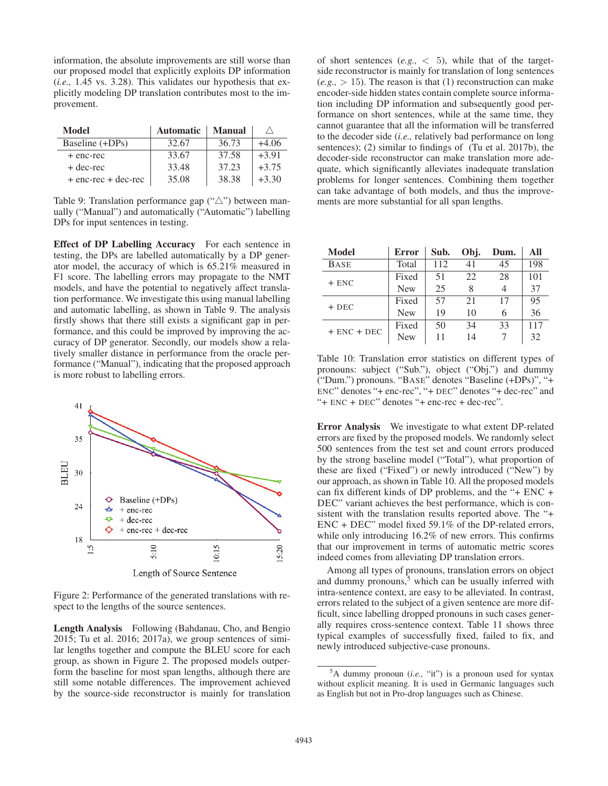information, the absolute improvements are still worse than our proposed model that explicitly exploits DP information (*i.e.,* 1.45 vs. 3.28). This validates our hypothesis that explicitly modeling DP translation contributes most to the improvement.

| Model                   | <b>Automatic</b> | <b>Manual</b> |         |
|-------------------------|------------------|---------------|---------|
| Baseline (+DPs)         | 32.67            | 36.73         | $+4.06$ |
| + enc-rec               | 33.67            | 37.58         | $+3.91$ |
| + dec-rec               | 33.48            | 37.23         | $+3.75$ |
| $+$ enc-rec $+$ dec-rec | 35.08            | 38.38         | $+3.30$ |

Table 9: Translation performance gap  $($ " $\triangle$ " $)$  between manually ("Manual") and automatically ("Automatic") labelling DPs for input sentences in testing.

Effect of DP Labelling Accuracy For each sentence in testing, the DPs are labelled automatically by a DP generator model, the accuracy of which is 65.21% measured in F1 score. The labelling errors may propagate to the NMT models, and have the potential to negatively affect translation performance. We investigate this using manual labelling and automatic labelling, as shown in Table 9. The analysis firstly shows that there still exists a significant gap in performance, and this could be improved by improving the accuracy of DP generator. Secondly, our models show a relatively smaller distance in performance from the oracle performance ("Manual"), indicating that the proposed approach is more robust to labelling errors.



Length of Source Sentence

Figure 2: Performance of the generated translations with respect to the lengths of the source sentences.

Length Analysis Following (Bahdanau, Cho, and Bengio 2015; Tu et al. 2016; 2017a), we group sentences of similar lengths together and compute the BLEU score for each group, as shown in Figure 2. The proposed models outperform the baseline for most span lengths, although there are still some notable differences. The improvement achieved by the source-side reconstructor is mainly for translation

of short sentences  $(e.g., < 5)$ , while that of the targetside reconstructor is mainly for translation of long sentences  $(e.g., > 15)$ . The reason is that (1) reconstruction can make encoder-side hidden states contain complete source information including DP information and subsequently good performance on short sentences, while at the same time, they cannot guarantee that all the information will be transferred to the decoder side (*i.e.,* relatively bad performance on long sentences); (2) similar to findings of (Tu et al. 2017b), the decoder-side reconstructor can make translation more adequate, which significantly alleviates inadequate translation problems for longer sentences. Combining them together can take advantage of both models, and thus the improvements are more substantial for all span lengths.

| Model           | <b>Error</b> | Sub. | Obj. | Dum. | All |
|-----------------|--------------|------|------|------|-----|
| <b>BASE</b>     | Total        | 112  | 41   | 45   | 198 |
| $+$ ENC         | Fixed        | 51   | 22   | 28   | 101 |
|                 | <b>New</b>   | 25   | 8    |      | 37  |
| $+$ DEC         | Fixed        | 57   | 21   | 17   | 95  |
|                 | <b>New</b>   | 19   | 10   | 6    | 36  |
| $+$ ENC $+$ DEC | Fixed        | 50   | 34   | 33   | 117 |
|                 | <b>New</b>   |      | 14   |      | 32  |

Table 10: Translation error statistics on different types of pronouns: subject ("Sub."), object ("Obj.") and dummy ("Dum.") pronouns. "BASE" denotes "Baseline (+DPs)", "+ ENC" denotes "+ enc-rec", "+ DEC" denotes "+ dec-rec" and "+ ENC + DEC" denotes "+ enc-rec + dec-rec".

Error Analysis We investigate to what extent DP-related errors are fixed by the proposed models. We randomly select 500 sentences from the test set and count errors produced by the strong baseline model ("Total"), what proportion of these are fixed ("Fixed") or newly introduced ("New") by our approach, as shown in Table 10. All the proposed models can fix different kinds of DP problems, and the "+ ENC + DEC" variant achieves the best performance, which is consistent with the translation results reported above. The "+ ENC + DEC" model fixed 59.1% of the DP-related errors, while only introducing 16.2% of new errors. This confirms that our improvement in terms of automatic metric scores indeed comes from alleviating DP translation errors.

Among all types of pronouns, translation errors on object and dummy pronouns,<sup>5</sup> which can be usually inferred with intra-sentence context, are easy to be alleviated. In contrast, errors related to the subject of a given sentence are more difficult, since labelling dropped pronouns in such cases generally requires cross-sentence context. Table 11 shows three typical examples of successfully fixed, failed to fix, and newly introduced subjective-case pronouns.

<sup>5</sup> A dummy pronoun (*i.e.,* "it") is a pronoun used for syntax without explicit meaning. It is used in Germanic languages such as English but not in Pro-drop languages such as Chinese.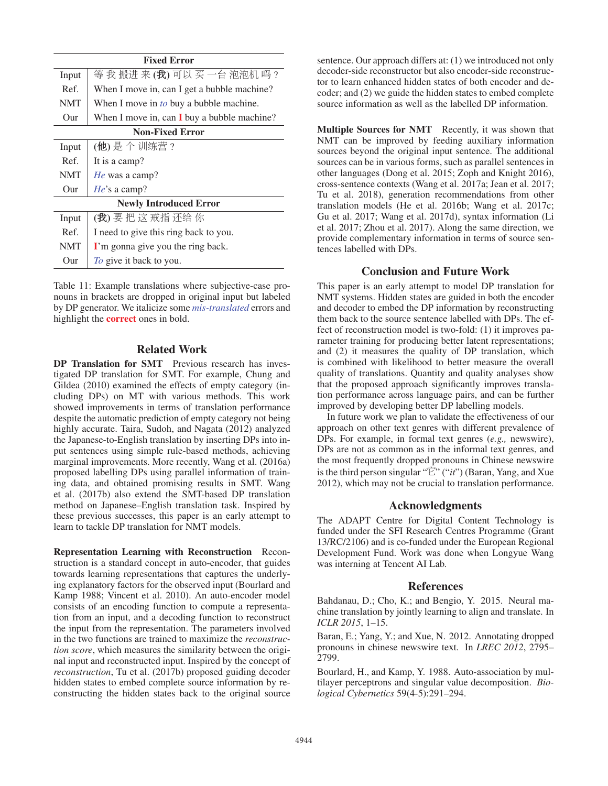|            | <b>Fixed Error</b>                             |  |  |  |  |  |
|------------|------------------------------------------------|--|--|--|--|--|
| Input      | 等我搬进来(我)可以买一台泡泡机吗?                             |  |  |  |  |  |
| Ref.       | When I move in, can I get a bubble machine?    |  |  |  |  |  |
| <b>NMT</b> | When I move in <i>to</i> buy a bubble machine. |  |  |  |  |  |
| Our        | When I move in, can I buy a bubble machine?    |  |  |  |  |  |
|            | <b>Non-Fixed Error</b>                         |  |  |  |  |  |
| Input      | (他)是个训练营?                                      |  |  |  |  |  |
| Ref.       | It is a camp?                                  |  |  |  |  |  |
| <b>NMT</b> | <i>He</i> was a camp?                          |  |  |  |  |  |
| Our        | $He$ 's a camp?                                |  |  |  |  |  |
|            | <b>Newly Introduced Error</b>                  |  |  |  |  |  |
| Input      | (我)要把这戒指还给你                                    |  |  |  |  |  |
| Ref.       | I need to give this ring back to you.          |  |  |  |  |  |
| <b>NMT</b> | I'm gonna give you the ring back.              |  |  |  |  |  |
| Our        | To give it back to you.                        |  |  |  |  |  |

Table 11: Example translations where subjective-case pronouns in brackets are dropped in original input but labeled by DP generator. We italicize some *mis-translated* errors and highlight the correct ones in bold.

# Related Work

DP Translation for SMT Previous research has investigated DP translation for SMT. For example, Chung and Gildea (2010) examined the effects of empty category (including DPs) on MT with various methods. This work showed improvements in terms of translation performance despite the automatic prediction of empty category not being highly accurate. Taira, Sudoh, and Nagata (2012) analyzed the Japanese-to-English translation by inserting DPs into input sentences using simple rule-based methods, achieving marginal improvements. More recently, Wang et al. (2016a) proposed labelling DPs using parallel information of training data, and obtained promising results in SMT. Wang et al. (2017b) also extend the SMT-based DP translation method on Japanese–English translation task. Inspired by these previous successes, this paper is an early attempt to learn to tackle DP translation for NMT models.

Representation Learning with Reconstruction Reconstruction is a standard concept in auto-encoder, that guides towards learning representations that captures the underlying explanatory factors for the observed input (Bourlard and Kamp 1988; Vincent et al. 2010). An auto-encoder model consists of an encoding function to compute a representation from an input, and a decoding function to reconstruct the input from the representation. The parameters involved in the two functions are trained to maximize the *reconstruction score*, which measures the similarity between the original input and reconstructed input. Inspired by the concept of *reconstruction*, Tu et al. (2017b) proposed guiding decoder hidden states to embed complete source information by reconstructing the hidden states back to the original source

sentence. Our approach differs at: (1) we introduced not only decoder-side reconstructor but also encoder-side reconstructor to learn enhanced hidden states of both encoder and decoder; and (2) we guide the hidden states to embed complete source information as well as the labelled DP information.

Multiple Sources for NMT Recently, it was shown that NMT can be improved by feeding auxiliary information sources beyond the original input sentence. The additional sources can be in various forms, such as parallel sentences in other languages (Dong et al. 2015; Zoph and Knight 2016), cross-sentence contexts (Wang et al. 2017a; Jean et al. 2017; Tu et al. 2018), generation recommendations from other translation models (He et al. 2016b; Wang et al. 2017c; Gu et al. 2017; Wang et al. 2017d), syntax information (Li et al. 2017; Zhou et al. 2017). Along the same direction, we provide complementary information in terms of source sentences labelled with DPs.

# Conclusion and Future Work

This paper is an early attempt to model DP translation for NMT systems. Hidden states are guided in both the encoder and decoder to embed the DP information by reconstructing them back to the source sentence labelled with DPs. The effect of reconstruction model is two-fold: (1) it improves parameter training for producing better latent representations; and (2) it measures the quality of DP translation, which is combined with likelihood to better measure the overall quality of translations. Quantity and quality analyses show that the proposed approach significantly improves translation performance across language pairs, and can be further improved by developing better DP labelling models.

In future work we plan to validate the effectiveness of our approach on other text genres with different prevalence of DPs. For example, in formal text genres (*e.g.,* newswire), DPs are not as common as in the informal text genres, and the most frequently dropped pronouns in Chinese newswire is the third person singular "它" ("*it*") (Baran, Yang, and Xue 2012), which may not be crucial to translation performance.

## Acknowledgments

The ADAPT Centre for Digital Content Technology is funded under the SFI Research Centres Programme (Grant 13/RC/2106) and is co-funded under the European Regional Development Fund. Work was done when Longyue Wang was interning at Tencent AI Lab.

## References

Bahdanau, D.; Cho, K.; and Bengio, Y. 2015. Neural machine translation by jointly learning to align and translate. In *ICLR 2015*, 1–15.

Baran, E.; Yang, Y.; and Xue, N. 2012. Annotating dropped pronouns in chinese newswire text. In *LREC 2012*, 2795– 2799.

Bourlard, H., and Kamp, Y. 1988. Auto-association by multilayer perceptrons and singular value decomposition. *Biological Cybernetics* 59(4-5):291–294.